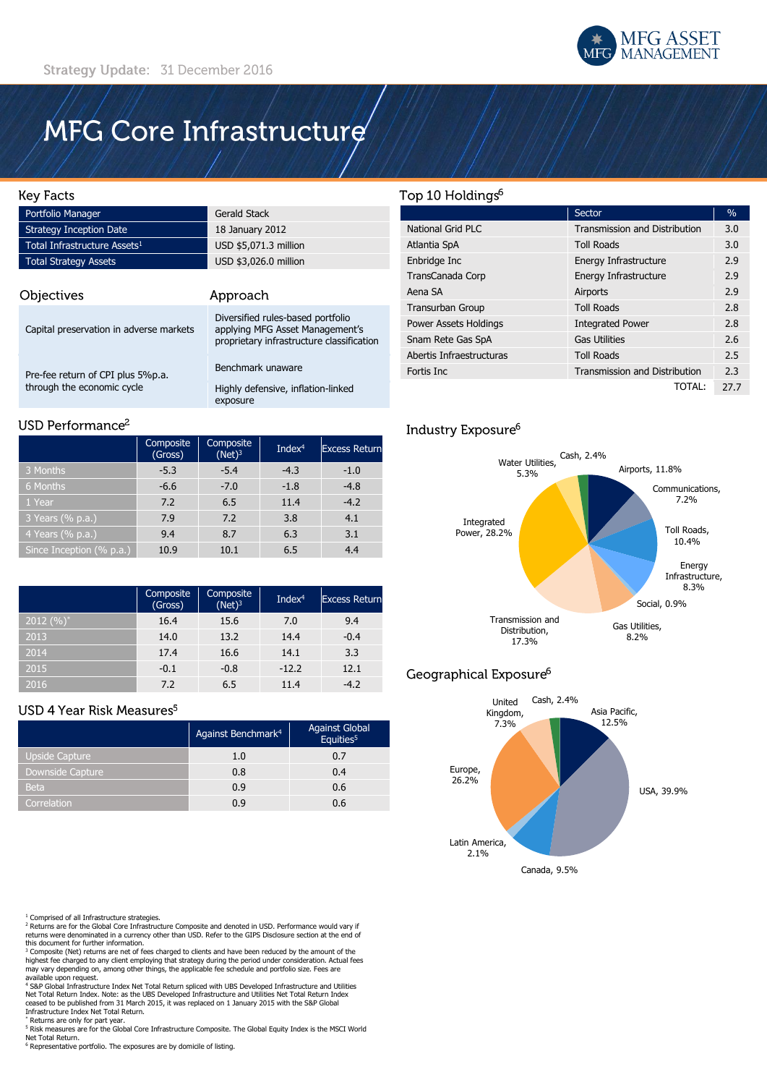

# MFG Core Infrastructure

#### **Key Facts**

| Portfolio Manager                        | Gerald Stack          |  |
|------------------------------------------|-----------------------|--|
| <b>Strategy Inception Date</b>           | 18 January 2012       |  |
| Total Infrastructure Assets <sup>1</sup> | USD \$5,071.3 million |  |
| <b>Total Strategy Assets</b>             | USD \$3,026.0 million |  |
|                                          |                       |  |

| Objectives                              | Approach                                                                                                          |  |  |
|-----------------------------------------|-------------------------------------------------------------------------------------------------------------------|--|--|
| Capital preservation in adverse markets | Diversified rules-based portfolio<br>applying MFG Asset Management's<br>proprietary infrastructure classification |  |  |
| Pre-fee return of CPI plus 5%p.a.       | Benchmark unaware                                                                                                 |  |  |
| through the economic cycle              | Highly defensive, inflation-linked<br>exposure                                                                    |  |  |

#### USD Performance<sup>2</sup>

|                          | <b>Composite</b><br>(Gross) | Composite<br>$(Net)^3$ | Inde $x^4$ | <b>Excess Return</b> |
|--------------------------|-----------------------------|------------------------|------------|----------------------|
| 3 Months                 | $-5.3$                      | $-5.4$                 | $-4.3$     | $-1.0$               |
| 6 Months                 | $-6.6$                      | $-7.0$                 | $-1.8$     | $-4.8$               |
| 1 Year                   | 7.2                         | 6.5                    | 11.4       | $-4.2$               |
| 3 Years (% p.a.)         | 7.9                         | 7.2                    | 3.8        | 4.1                  |
| 4 Years (% p.a.)         | 9.4                         | 8.7                    | 6.3        | 3.1                  |
| Since Inception (% p.a.) | 10.9                        | 10.1                   | 6.5        | 4.4                  |

|                        | Composite<br>(Gross) | Composite<br>$(Net)^3$ | Index $4$ | <b>Excess Return</b> |
|------------------------|----------------------|------------------------|-----------|----------------------|
| $\sqrt{2012}$ $(\%)^*$ | 16.4                 | 15.6                   | 7.0       | 9.4                  |
| 2013                   | 14.0                 | 13.2                   | 14.4      | $-0.4$               |
| 2014                   | 17.4                 | 16.6                   | 14.1      | 3.3                  |
| 2015                   | $-0.1$               | $-0.8$                 | $-12.2$   | 12.1                 |
| 2016                   | 7.2                  | 6.5                    | 11.4      | $-4.2$               |

### USD 4 Year Risk Measures<sup>5</sup>

|                       | Against Benchmark <sup>4</sup> | <b>Against Global</b><br>Equities <sup>5</sup> |
|-----------------------|--------------------------------|------------------------------------------------|
| <b>Upside Capture</b> | 1.0                            | 0.7                                            |
| Downside Capture      | 0.8                            | 0.4                                            |
| <b>Beta</b>           | 0.9                            | 0.6                                            |
| Correlation           | 0.9                            | 0.6                                            |

<sup>1</sup> Comprised of all Infrastructure strategies.<br><sup>2</sup> Returns are for the Global Core Infrastructure Composite and denoted in USD. Performance would vary if<br>returns were denominated in a currency other than USD. Refer to the

this document for further information. <sup>3</sup> Composite (Net) returns are net of fees charged to clients and have been reduced by the amount of the highest fee charged to any client employing that strategy during the period under consideration. Actual fees may vary depending on, among other things, the applicable fee schedule and portfolio size. Fees are

available upon request.<br>\* S&P Global Infrastructure Index Net Total Return spliced with UBS Developed Infrastructure and Utilities<br>Net Total Return Index. Note: as the UBS Developed Infrastructure and Utilities Net Total R Infrastructure Index Net Total Return.

\* Returns are only for part year.

<sup>5</sup> Risk measures are for the Global Core Infrastructure Composite. The Global Equity Index is the MSCI World Net Total Return. <sup>6</sup> Representative portfolio. The exposures are by domicile of listing.

## Top 10 Holdings<sup>6</sup>

|                              | Sector                               | $\%$ |
|------------------------------|--------------------------------------|------|
| National Grid PLC            | <b>Transmission and Distribution</b> | 3.0  |
| Atlantia SpA                 | <b>Toll Roads</b>                    | 3.0  |
| Enbridge Inc                 | Energy Infrastructure                | 2.9  |
| TransCanada Corp             | Energy Infrastructure                | 2.9  |
| Aena SA                      | Airports                             | 2.9  |
| Transurban Group             | <b>Toll Roads</b>                    | 2.8  |
| <b>Power Assets Holdings</b> | <b>Integrated Power</b>              | 2.8  |
| Snam Rete Gas SpA            | <b>Gas Utilities</b>                 | 2.6  |
| Abertis Infraestructuras     | <b>Toll Roads</b>                    | 2.5  |
| Fortis Inc                   | <b>Transmission and Distribution</b> | 2.3  |
|                              | TOTAL:                               | 27.7 |

# Industry Exposure<sup>6</sup>



# Geographical Exposure<sup>6</sup>

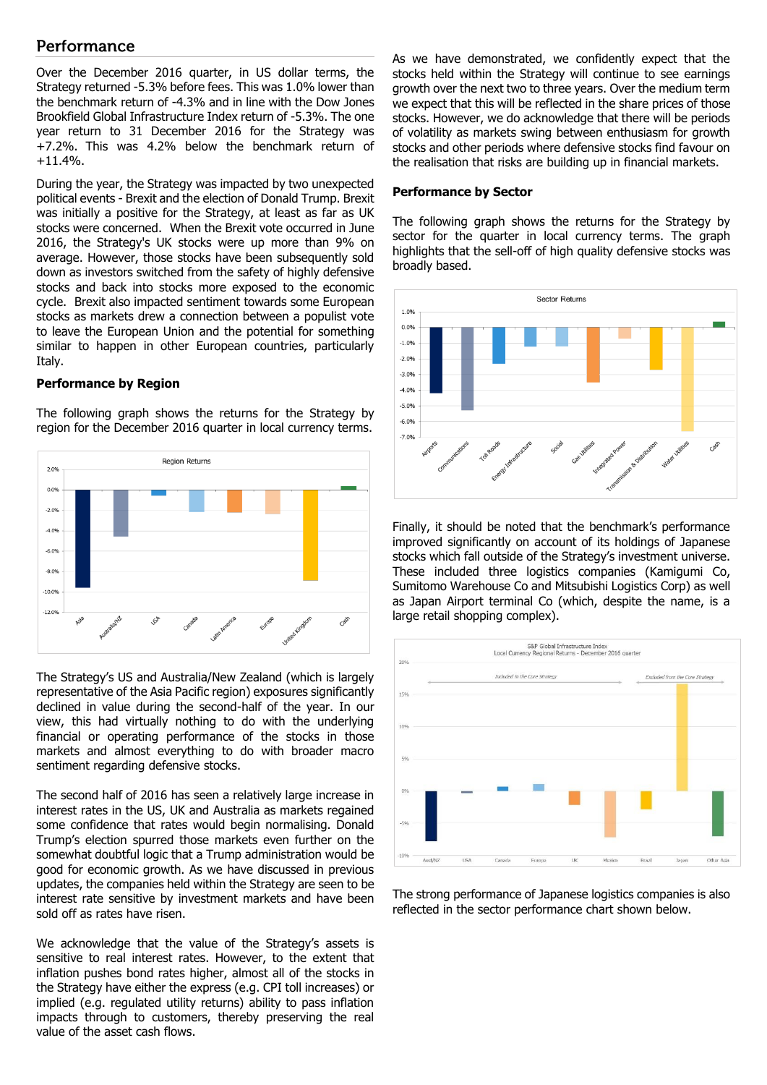## Performance

Over the December 2016 quarter, in US dollar terms, the Strategy returned -5.3% before fees. This was 1.0% lower than the benchmark return of -4.3% and in line with the Dow Jones Brookfield Global Infrastructure Index return of -5.3%. The one year return to 31 December 2016 for the Strategy was +7.2%. This was 4.2% below the benchmark return of +11.4%.

During the year, the Strategy was impacted by two unexpected political events - Brexit and the election of Donald Trump. Brexit was initially a positive for the Strategy, at least as far as UK stocks were concerned. When the Brexit vote occurred in June 2016, the Strategy's UK stocks were up more than 9% on average. However, those stocks have been subsequently sold down as investors switched from the safety of highly defensive stocks and back into stocks more exposed to the economic cycle. Brexit also impacted sentiment towards some European stocks as markets drew a connection between a populist vote to leave the European Union and the potential for something similar to happen in other European countries, particularly Italy.

#### **Performance by Region**

The following graph shows the returns for the Strategy by region for the December 2016 quarter in local currency terms.



The Strategy's US and Australia/New Zealand (which is largely representative of the Asia Pacific region) exposures significantly declined in value during the second-half of the year. In our view, this had virtually nothing to do with the underlying financial or operating performance of the stocks in those markets and almost everything to do with broader macro sentiment regarding defensive stocks.

The second half of 2016 has seen a relatively large increase in interest rates in the US, UK and Australia as markets regained some confidence that rates would begin normalising. Donald Trump's election spurred those markets even further on the somewhat doubtful logic that a Trump administration would be good for economic growth. As we have discussed in previous updates, the companies held within the Strategy are seen to be interest rate sensitive by investment markets and have been sold off as rates have risen.

We acknowledge that the value of the Strategy's assets is sensitive to real interest rates. However, to the extent that inflation pushes bond rates higher, almost all of the stocks in the Strategy have either the express (e.g. CPI toll increases) or implied (e.g. regulated utility returns) ability to pass inflation impacts through to customers, thereby preserving the real value of the asset cash flows.

As we have demonstrated, we confidently expect that the stocks held within the Strategy will continue to see earnings growth over the next two to three years. Over the medium term we expect that this will be reflected in the share prices of those stocks. However, we do acknowledge that there will be periods of volatility as markets swing between enthusiasm for growth stocks and other periods where defensive stocks find favour on the realisation that risks are building up in financial markets.

#### **Performance by Sector**

The following graph shows the returns for the Strategy by sector for the quarter in local currency terms. The graph highlights that the sell-off of high quality defensive stocks was broadly based.



Finally, it should be noted that the benchmark's performance improved significantly on account of its holdings of Japanese stocks which fall outside of the Strategy's investment universe. These included three logistics companies (Kamigumi Co, Sumitomo Warehouse Co and Mitsubishi Logistics Corp) as well as Japan Airport terminal Co (which, despite the name, is a large retail shopping complex).



The strong performance of Japanese logistics companies is also reflected in the sector performance chart shown below.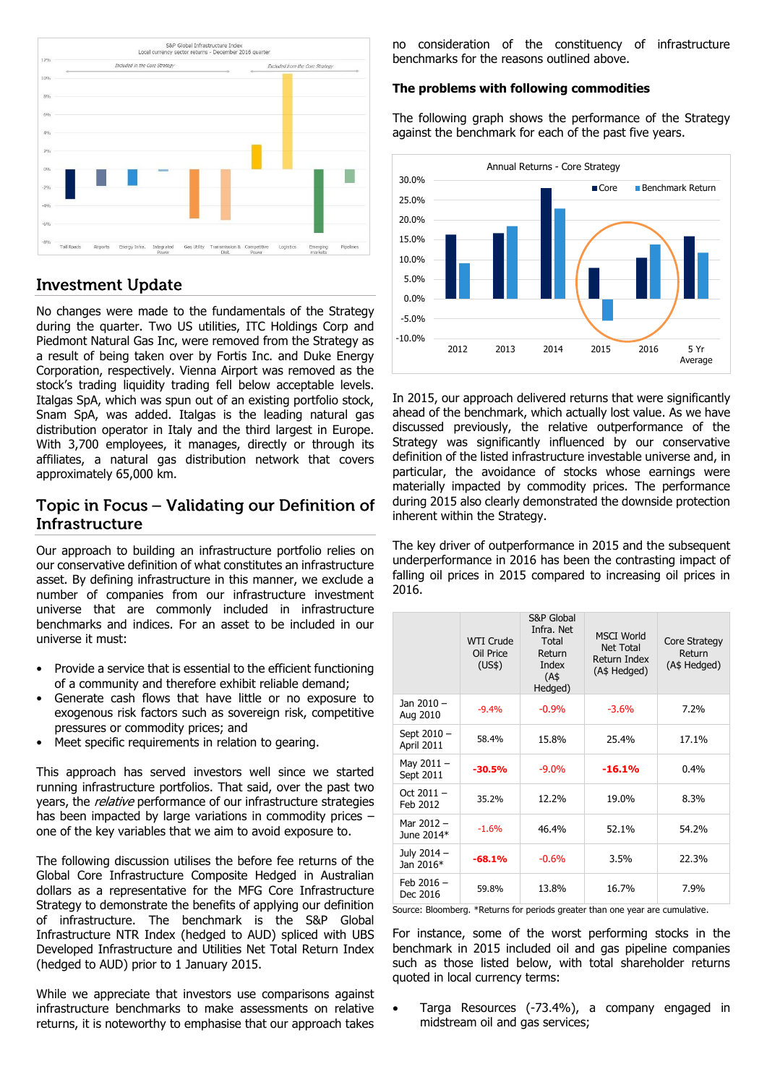![](_page_2_Figure_0.jpeg)

# **Investment Update**

No changes were made to the fundamentals of the Strategy during the quarter. Two US utilities, ITC Holdings Corp and Piedmont Natural Gas Inc, were removed from the Strategy as a result of being taken over by Fortis Inc. and Duke Energy Corporation, respectively. Vienna Airport was removed as the stock's trading liquidity trading fell below acceptable levels. Italgas SpA, which was spun out of an existing portfolio stock, Snam SpA, was added. Italgas is the leading natural gas distribution operator in Italy and the third largest in Europe. With 3,700 employees, it manages, directly or through its affiliates, a natural gas distribution network that covers approximately 65,000 km.

## Topic in Focus – Validating our Definition of **Infrastructure**

Our approach to building an infrastructure portfolio relies on our conservative definition of what constitutes an infrastructure asset. By defining infrastructure in this manner, we exclude a number of companies from our infrastructure investment universe that are commonly included in infrastructure benchmarks and indices. For an asset to be included in our universe it must:

- Provide a service that is essential to the efficient functioning of a community and therefore exhibit reliable demand;
- Generate cash flows that have little or no exposure to exogenous risk factors such as sovereign risk, competitive pressures or commodity prices; and
- Meet specific requirements in relation to gearing.

This approach has served investors well since we started running infrastructure portfolios. That said, over the past two years, the *relative* performance of our infrastructure strategies has been impacted by large variations in commodity prices – one of the key variables that we aim to avoid exposure to.

The following discussion utilises the before fee returns of the Global Core Infrastructure Composite Hedged in Australian dollars as a representative for the MFG Core Infrastructure Strategy to demonstrate the benefits of applying our definition of infrastructure. The benchmark is the S&P Global Infrastructure NTR Index (hedged to AUD) spliced with UBS Developed Infrastructure and Utilities Net Total Return Index (hedged to AUD) prior to 1 January 2015.

While we appreciate that investors use comparisons against infrastructure benchmarks to make assessments on relative returns, it is noteworthy to emphasise that our approach takes

no consideration of the constituency of infrastructure benchmarks for the reasons outlined above.

#### **The problems with following commodities**

The following graph shows the performance of the Strategy against the benchmark for each of the past five years.

![](_page_2_Figure_14.jpeg)

In 2015, our approach delivered returns that were significantly ahead of the benchmark, which actually lost value. As we have discussed previously, the relative outperformance of the Strategy was significantly influenced by our conservative definition of the listed infrastructure investable universe and, in particular, the avoidance of stocks whose earnings were materially impacted by commodity prices. The performance during 2015 also clearly demonstrated the downside protection inherent within the Strategy.

The key driver of outperformance in 2015 and the subsequent underperformance in 2016 has been the contrasting impact of falling oil prices in 2015 compared to increasing oil prices in 2016.

|                           | <b>WTI Crude</b><br>Oil Price<br>(US\$) | S&P Global<br>Infra. Net<br>Total<br>Return<br>Index<br>(A\$<br>Hedged) | <b>MSCI World</b><br>Net Total<br>Return Index<br>(A\$ Hedged) | <b>Core Strategy</b><br>Return<br>(A\$ Hedged) |
|---------------------------|-----------------------------------------|-------------------------------------------------------------------------|----------------------------------------------------------------|------------------------------------------------|
| Jan 2010 -<br>Aug 2010    | $-9.4%$                                 | $-0.9%$                                                                 | $-3.6%$                                                        | 7.2%                                           |
| Sept 2010 -<br>April 2011 | 58.4%                                   | 15.8%                                                                   | 25.4%                                                          | 17.1%                                          |
| May $2011 -$<br>Sept 2011 | $-30.5%$                                | $-9.0\%$                                                                | $-16.1%$                                                       | 0.4%                                           |
| Oct $2011 -$<br>Feb 2012  | 35.2%                                   | 12.2%                                                                   | 19.0%                                                          | 8.3%                                           |
| Mar 2012 -<br>June 2014*  | $-1.6%$                                 | 46.4%                                                                   | 52.1%                                                          | 54.2%                                          |
| July 2014 -<br>Jan 2016*  | $-68.1%$                                | $-0.6%$                                                                 | 3.5%                                                           | 22.3%                                          |
| Feb $2016 -$<br>Dec 2016  | 59.8%                                   | 13.8%                                                                   | 16.7%                                                          | 7.9%                                           |

Source: Bloomberg. \*Returns for periods greater than one year are cumulative.

For instance, some of the worst performing stocks in the benchmark in 2015 included oil and gas pipeline companies such as those listed below, with total shareholder returns quoted in local currency terms:

 Targa Resources (-73.4%), a company engaged in midstream oil and gas services;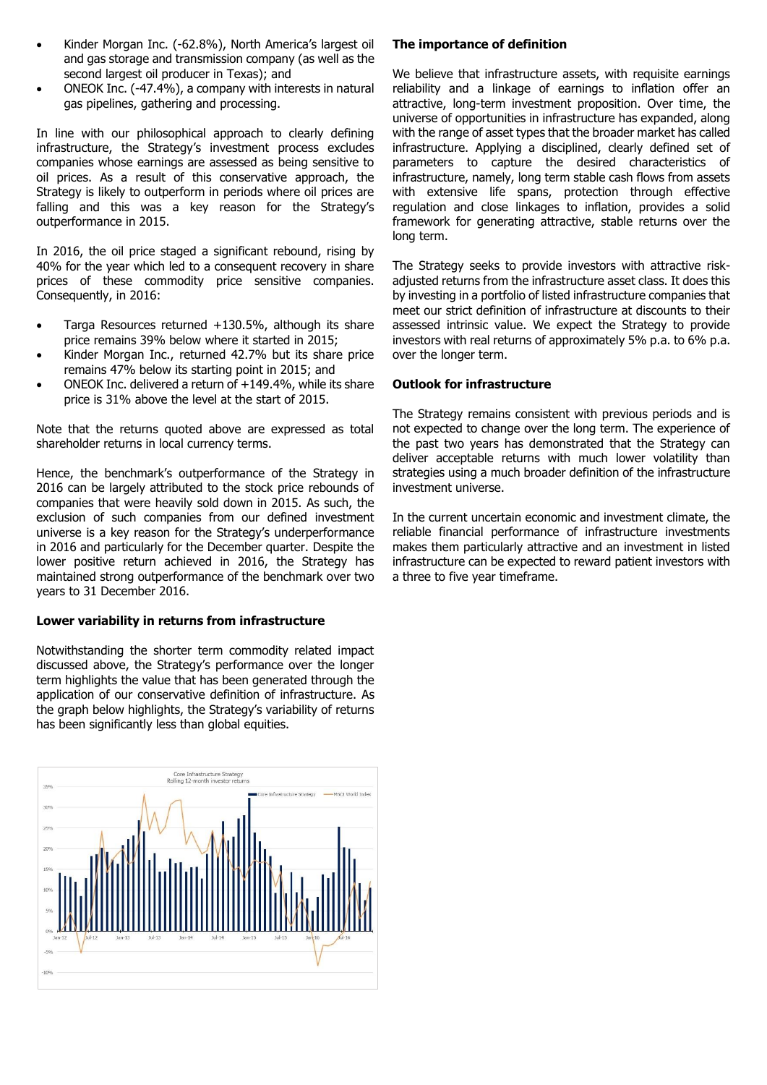- Kinder Morgan Inc. (-62.8%), North America's largest oil and gas storage and transmission company (as well as the second largest oil producer in Texas); and
- ONEOK Inc. (-47.4%), a company with interests in natural gas pipelines, gathering and processing.

In line with our philosophical approach to clearly defining infrastructure, the Strategy's investment process excludes companies whose earnings are assessed as being sensitive to oil prices. As a result of this conservative approach, the Strategy is likely to outperform in periods where oil prices are falling and this was a key reason for the Strategy's outperformance in 2015.

In 2016, the oil price staged a significant rebound, rising by 40% for the year which led to a consequent recovery in share prices of these commodity price sensitive companies. Consequently, in 2016:

- Targa Resources returned +130.5%, although its share price remains 39% below where it started in 2015;
- Kinder Morgan Inc., returned 42.7% but its share price remains 47% below its starting point in 2015; and
- ONEOK Inc. delivered a return of +149.4%, while its share price is 31% above the level at the start of 2015.

Note that the returns quoted above are expressed as total shareholder returns in local currency terms.

Hence, the benchmark's outperformance of the Strategy in 2016 can be largely attributed to the stock price rebounds of companies that were heavily sold down in 2015. As such, the exclusion of such companies from our defined investment universe is a key reason for the Strategy's underperformance in 2016 and particularly for the December quarter. Despite the lower positive return achieved in 2016, the Strategy has maintained strong outperformance of the benchmark over two years to 31 December 2016.

### **Lower variability in returns from infrastructure**

Notwithstanding the shorter term commodity related impact discussed above, the Strategy's performance over the longer term highlights the value that has been generated through the application of our conservative definition of infrastructure. As the graph below highlights, the Strategy's variability of returns has been significantly less than global equities.

![](_page_3_Figure_11.jpeg)

## **The importance of definition**

We believe that infrastructure assets, with requisite earnings reliability and a linkage of earnings to inflation offer an attractive, long-term investment proposition. Over time, the universe of opportunities in infrastructure has expanded, along with the range of asset types that the broader market has called infrastructure. Applying a disciplined, clearly defined set of parameters to capture the desired characteristics of infrastructure, namely, long term stable cash flows from assets with extensive life spans, protection through effective regulation and close linkages to inflation, provides a solid framework for generating attractive, stable returns over the long term.

The Strategy seeks to provide investors with attractive riskadjusted returns from the infrastructure asset class. It does this by investing in a portfolio of listed infrastructure companies that meet our strict definition of infrastructure at discounts to their assessed intrinsic value. We expect the Strategy to provide investors with real returns of approximately 5% p.a. to 6% p.a. over the longer term.

### **Outlook for infrastructure**

The Strategy remains consistent with previous periods and is not expected to change over the long term. The experience of the past two years has demonstrated that the Strategy can deliver acceptable returns with much lower volatility than strategies using a much broader definition of the infrastructure investment universe.

In the current uncertain economic and investment climate, the reliable financial performance of infrastructure investments makes them particularly attractive and an investment in listed infrastructure can be expected to reward patient investors with a three to five year timeframe.